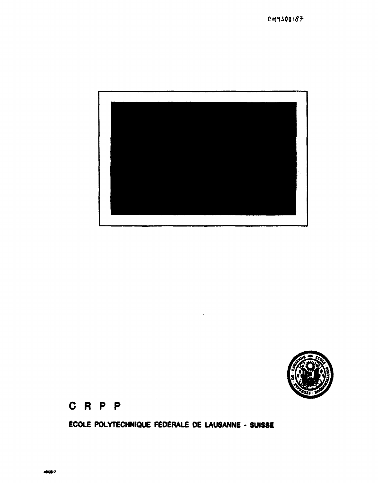# ÉCOLE POLYTECHNIQUE FÉDÉRALE DE LAUSANNE - SUISSE





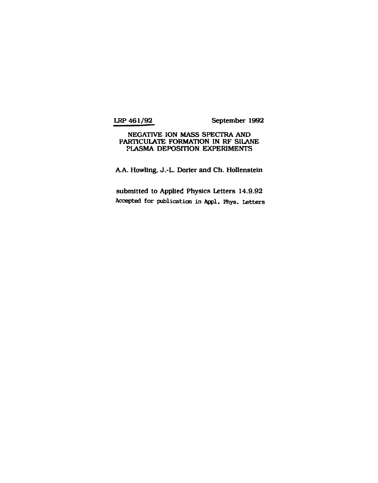**LRP 461/92 September 1992** 

## **NEGATIVE ION MASS SPECTRA AND PARTICULATE FORMATION IN RF SILANE PLASMA DEPOSITION EXPERIMENTS**

**A.A. Howling, J.-L. Dorier and Ch. Hollenstein** 

**submitted to Applied Physics Letters 14.9.92 Accepted for publication in Appl. Phys. Letters**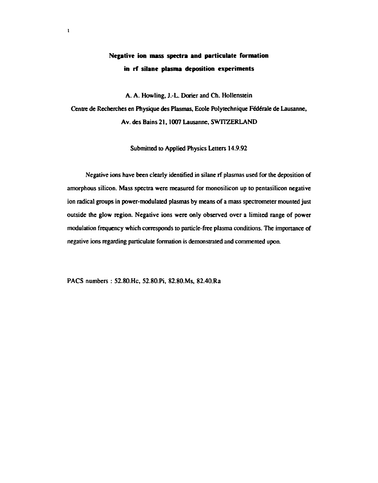## **Negative ion mass spectra and particulate formation in rf silane plasma deposition experiments**

A. A. Howling, J.-L. Doner and Ch. Hollenstein

Centre de Recherches en Physique des Plasmas, Ecole Polytechnique Fédérale de Lausanne, Av. des Bains 21,1007 Lausanne, SWITZERLAND

Submitted to Applied Physics Letters 14.9.92

Negative ions have been clearly identified in silane rf plasmas used for the deposition of amorphous silicon. Mass spectra were measured for monosilicon up to pentasilicon negative ion radical groups in power-modulated plasmas by means of a mass spectrometer mounted just outside the glow region. Negative ions were only observed over a limited range of power modulation frequency which corresponds to particle-free plasma conditions. The importance of negative ions regarding particulate formation is demonstrated and commented upon.

PACS numbers : 52.80.Hc, 52.80.Pi, 82.80.Ms, 82.40.Ra

**1**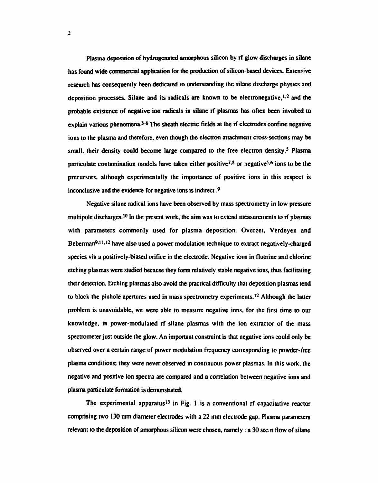**Plasma deposition of hydrogenated amorphous silicon by rf glow discharges in silane has found wide commercial application for the production of silicon-based devices. Extensive research has consequently been dedicated to understanding the silane discharge physics and deposition processes. Silane and its radicals are known to be electronegative,<sup>1</sup> ' 2 ami the probable existence of negative ion radicals in silane rf plasmas has often been invoked to**  explain various phenomena.<sup>3-6</sup> The sheath electric fields at the rf electrodes confine negative **ions to the plasma and therefore, even though the electron attachment cross-sections may be small, their density could become large compared to the free electron density.<sup>3</sup> Plasma particulate contamination models have taken either positive<sup>7</sup> \* 8 or negative<sup>5</sup> - 6 ions to be the precursors, although experimentally the importance of positive ions in this respect is inconclusive and the evidence for negative ions is indirect . 9** 

**Negative silane radical ions have been observed by mass spectrometry in low pressure**  multipole discharges.<sup>10</sup> In the present work, the aim was to extend measurements to rf plasmas **with parameters commonly used for plasma deposition. Ovcrzet, Verdeyen and**  Beberman<sup>9,11,12</sup> have also used a power modulation technique to extract negatively-charged **species via a positively-biased orifice in the electrode. Negative ions in fluorine and chlorine etching plasmas were studied because they form relatively stable negative ions, thus facilitating their detection. Etching plasmas also avoid the practical difficulty that deposition plasmas tend to block the pinhole apertures used in mass spectrometry experiments.<sup>12</sup> Although the latter problem is unavoidable, we were able to measure negative ions, for the first time to our knowledge, in power-modulated rf silane plasmas with the ion extractor of the mass spectrometer just outside the glow. An important constraint is that negative ions could only be observed over a certain range of power modulation frequency corresponding to powder-free plasma conditions; they were never observed in continuous power plasmas. In this work, the negative and positive ion spectra are compared and a correlation between negative ions and plasma particulate formation is demonstrated.** 

**The experimental apparatus<sup>13</sup> in Fig. 1 is a conventional rf capacitative reactor comprising two 130 mm diameter electrodes with a 22 mm electrode gap. Plasma parameters relevant to the deposition of amorphous silicon were chosen, namely: a 30 seen flow of silane**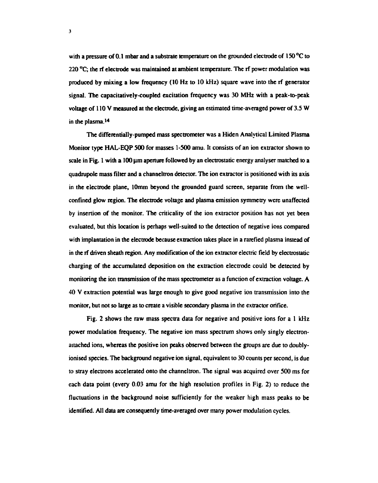**with a pressure of 0.1 mbar and a substrate temperature on the grounded electrode of 150 °C to 220 °C; the rf electrode was maintained at ambient temperature. The rf power modulation was produced by mixing a low frequency (10 Hz to 10 kHz) square wave into the rf generator signal. The capacitatively-coupled excitation frequency was 30 MHz with a peak-to-peak voltage of 110 V measured at the electrode, giving an estimated time-averaged power of 3.5 W in the plasma.<sup>14</sup>**

**The differentially-pumped mass spectrometer was a Hiden Analytical Limited Plasma Monitor type HAL-EQP 500 for masses 1-500 amu. It consists of an ion extractor shown to**  scale in Fig. 1 with a 100 µm aperture followed by an electrostatic energy analyser matched to a **quadrupole mass filter and a channeltron detector. The ion extractor is positioned with its axis in the electrode plane, 10mm beyond the grounded guard screen, separate from the wellconfined glow region. The electrode voltage and plasma emission symmetry were unaffected by insertion of the monitor. The criticality of the ion extractor position has not yet been evaluated, but this location is perhaps well-suited to the detection of negative ions compared with implantation in the electrode because extraction takes place in a rarefied plasma instead of in the if driven sheath region. Any modification of the ion extractor electric field by electrostatic charging of the accumulated deposition on the extraction electrode could be detected by monitoring the ion transmission of the mass spectrometer as a function of extraction voltage. A 40 V extraction potential was large enough to give good negative ion transmission into the monitor, but not so large as to create a visible secondary plasma in the extractor orifice.** 

**Fig. 2 shows the raw mass spectra data for negative and positive ions for a 1 kHz power modulation frequency. The negative ion mass spectrum shows only singly electronattached ions, whereas the positive ion peaks observed between the groups are due to doublyionised species. The background negative ion signal, equivalent to 30 counts per second, is due to stray electrons accelerated onto the channeltron. The signal was acquired over 500 ms for each data point (every 0.03 amu for the high resolution profiles in Fig. 2) to reduce the fluctuations in the background noise sufficiently for the weaker high mass peaks to be identified. All data are consequently time-averaged over many power modulation cycles.**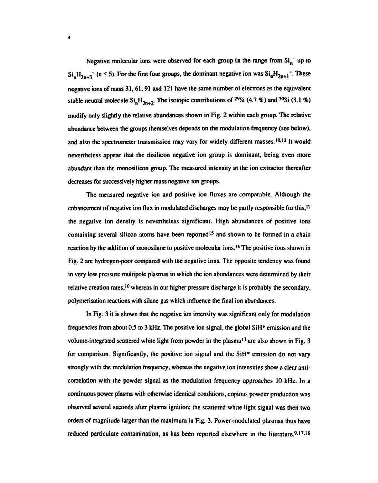**Negative molecular ions were observed for each group in the range from Sin" up to**   $\text{Si}_{n}H_{2n+3}$ <sup>\*</sup> (n  $\leq$  5). For the first four groups, the dominant negative ion was  $\text{Si}_{n}H_{2n+1}$ <sup>\*</sup>. These **negative ions of mass 31,61,91 and 121 have the same number of electrons as the equivalent**  stable neutral molecule  $\text{Si}_n\text{H}_{2n+2}$ . The isotopic contributions of <sup>29</sup>Si (4.7 %) and <sup>30</sup>Si (3.1 %) **modify only slightly the relative abundances shown in Fig. 2 within each group. The relative abundance between the groups themselves depends on the modulation frequency (see below),**  and also the spectrometer transmission may vary for widely-different masses.<sup>10,12</sup> It would **nevertheless appear that the disilicon negative ion group is dominant, being even more abundant than the monosilicon group. The measured intensity at the ion extractor thereafter decreases for successively higher mass negative ion groups.** 

**The measured negative ion and positive ion fluxes are comparable. Although the enhancement of negative ion flux in modulated discharges may be partly responsible for this,<sup>12</sup> the negative ion density is nevertheless significant. High abundances of positive ions containing several silicon atoms have been reported<sup>15</sup> and shown to be formed in a chain reaction by the addition of monosilane to positive molecular ions.<sup>16</sup> The positive ions shown in Fig. 2 are hydrogen-poor compared with the negative ions. The opposite tendency was found in very tow pressure multipole plasmas in which the ion abundances were determined by their**  relative creation rates,<sup>10</sup> whereas in our higher pressure discharge it is probably the secondary, **polymerisation reactions with silane gas which influence the final ion abundances.** 

**In Fig. 3 it is shown that the negative ion intensity was significant only for modulation frequencies from about 0.5 to 3 kHz. The positive ion signal, the global SiH\* emission and the volume-integrated scattered white light from powder in the plasma<sup>13</sup> are also shown in Fig. 3 for comparison. Significantly, the positive ion signal and the SiH\* emission do not vary strongly with the modulation frequency, whereas the negative ion intensities show a clear anticorrelation with the powder signal as the modulation frequency approaches 10 kHz. In a continuous power plasma with otherwise identical conditions, copious powder production was observed several seconds after plasma ignition; the scattered white light signal was then two orders of magnitude larger than the maximum in Fig. 3. Power-modulated plasmas thus have reduced particulate contamination, as has been reported elsewhere in the literature.<sup>9</sup> ' 17' 18**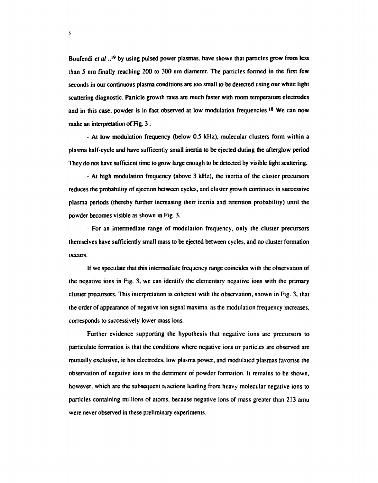**Boufendi** *et al* **., 19 by using pulsed power plasmas, have shown that particles grow from less than 5 nm finally reaching 200 to 300 nm diameter. The particles formed in the first few seconds in our continuous plasma conditions are too small to be detected using our white light scattering diagnostic. Particle growth rates are much faster with room temperature electrodes and in this case, powder is in fact observed at low modulation frequencies.<sup>18</sup> We can now make an interpretation of Fig. 3:** 

**- At low modulation frequency (below 0.5 kHz), molecular clusters form within a plasma half-cycle and have sufficently small inertia to be ejected during the afterglow period They do not have sufficient time to grow large enough to be detected by visible light scattering.** 

**- At high modulation frequency (above 3 kHz), the inertia of the cluster precursors reduces the probability of ejection between cycles, and cluster growth continues in successive plasma periods (thereby further increasing their inertia and retention probability) until the powder becomes visible as shown in Fig. 3.** 

**- For an intermediate range of modulation frequency, only the cluster precursors themselves have sufficiently small mass to be ejected between cycles, and no cluster formation occurs.** 

**If we speculate that this intermediate frequency range coincides with the observation of the negative ions in Fig. 3, we can identify the elementary negative ions with the primary cluster precursors. This interpretation is coherent with the observation, shown in Fig. 3, that the order of appearance of negative ion signal maxima, as the modulation frequency increases, corresponds to successively lower mass ions.** 

**Further evidence supporting the hypothesis that negative ions are precursors to particulate formation is that the conditions where negative ions or particles are observed are mutually exclusive, ie hot electrodes, low plasma power, and modulated plasmas favorise the observation of negative ions to the detriment of powder formation. It remains to be shown, however, which are the subsequent reactions leading from heavy molecular negative ions to particles containing millions of atoms, because negative ions of mass greater than 213 amu were never observed in these preliminary experiments.**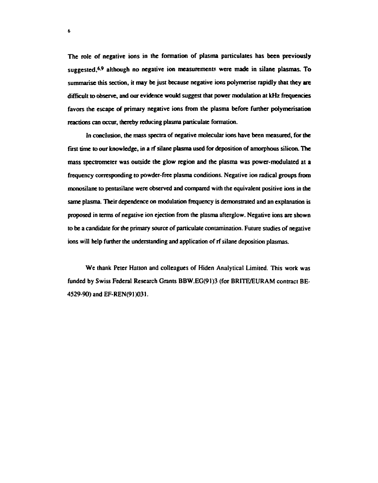**The role of negative ions in the formation of plasma particulates has been previously**  suggested,<sup>6,9</sup> although no negative ion measurements were made in silane plasmas. To **summarise this section, it may be just because negative ions polymerise rapidly that they are difficult to observe, and our evidence would suggest that power modulation at kHz frequencies favors the escape of primary negative ions from the plasma before further polymerisation reactions can occur, thereby reducing plasma particulate formation.** 

**In conclusion, the mass spectra of negative molecular ions have been measured, for the first time to our knowledge, in a rf silane plasma used for deposition of amorphous silicon. The mass spectrometer was outside the glow region and the plasma was power-modulated at a frequency corresponding to powder-free plasma conditions. Negative ion radical groups from monosilane to pentasilane were observed and compared with the equivalent positive ions in the same plasma. Their dependence on modulation frequency is demonstrated and an explanation is proposed in terms of negative ion ejection from the plasma afterglow. Negative ions are shown to be a candidate for the primary source of paniculate contamination. Future studies of negative ions will help further the understanding and application of rf silane deposition plasmas.** 

**We thank Peter Hatton and colleagues of Hiden Analytical Limited. This work was funded by Swiss Federal Research Grants BBW.EG(91)3 (for BRITE/EURAM contract BE-4529-90) and EF-REN(91 )031.** 

**6**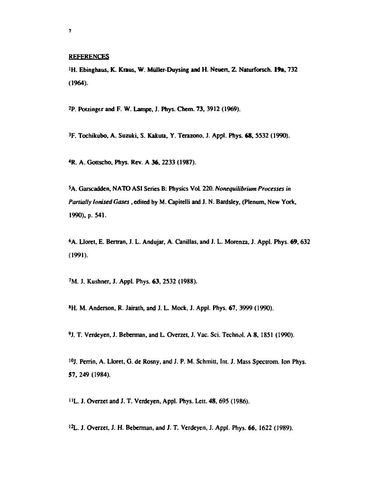## **REFERENCES**

'H. Ebinghaus, K. Kraus, W. Miiller-Duysing and H. Neuert, Z. Naturforsch. **19a,** 732 (1964).

<sup>2</sup>P. Potzinger and F. W. Lampe, J. Phys. Chem. 73, 3912 (1969).

3 F. Tochikubo, A. Suzuki, S. Kakuta, Y. Terazono, J. Appl. Phys. 68, 5532 (1990).

<sup>4</sup>R. A. Gottscho, Phys. Rev. A 36, 2233 (1987).

<sup>5</sup>A. Garscaddcn, NATO ASI Series B: Physics Vol. 220. *Nonequilibrium Processes in Partially Ionised Gases*, edited by M. Capitelii and J. N. Bardsley, (Plenum, New York, 1990), p. 541.

<sup>6</sup>A. Lloret, E. Bertran, J. L. Andujar, A. Canillas, and J. L. Morenza, J. Appl. Phys. 69, 632 (1991).

*1M.* J. Kushner, J. Appl. Phys. 63, 2532 (1988).

\*H. M. Anderson, R. Jairath, and J. L. Mock, J. Appl. Phys. 67, 3999 (1990).

9 J. T. Verdeycn, J. Beberman, and L. Overzet, J. Vac. Sci. Technol. A 8, 1851 (1990).

10J. Perrin, A. Lloret, G. de Rosny, and J. P. M. Schmitt, Int. J. Mass Spectrom. Ion Phys. 57, 249 (1984).

'•L. J. Overzet and J. T. Verdeyen, Appl. Phys. Lett. 48, 695 (1986).

<sup>12</sup>L. J. Overzet, J. H. Beberman, and J. T. Verdeyen, J. Appl. Phys. 66, 1622 (1989).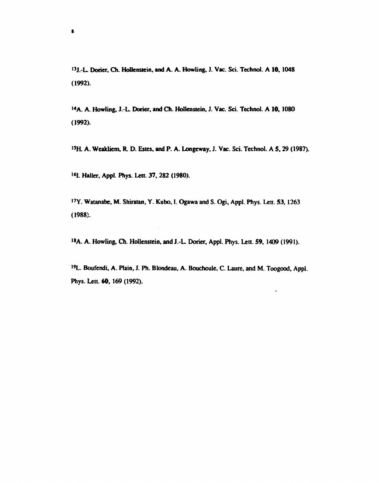<sup>13</sup>J.-L. Doner, Ch. Hollenstein, and A. A. Howling, J. Vac. Sci. Technol. A 10, 1048 **(1992).** 

<sup>14</sup>A. A. Howling, J.-L. Dorier, and Ch. Hollenstein, J. Vac. Sci. Technol. A 10, 1080 **(1992).** 

**I5H. A. Weakliem, R. D. Estes, and P. A. Longeway, J. Vac. Sci. Technol. A 5,29 (1987).** 

<sup>16</sup>I. Haller, Appl. Phys. Lett. 37, 282 (1980).

**s** 

17Y. Watanabe, M. Shiratan, Y. Kubo, I. Ogawa and S. Ogi, Appl. Phys. Lett. 53, 1263 **(1988).** 

<sup>18</sup>A. A. Howling, Ch. Hollenstein, and J.-L. Dorier, Appl. Phys. Lett. 59, 1409 (1991).

**<sup>19</sup>L. Boufendi, A. Plain, J. Ph. Blondeau, A. Bouchoule, C. Laure, and M. Toogood, Appl. Phys. Lett. 60, 169 (1992).** 

 $\cdot$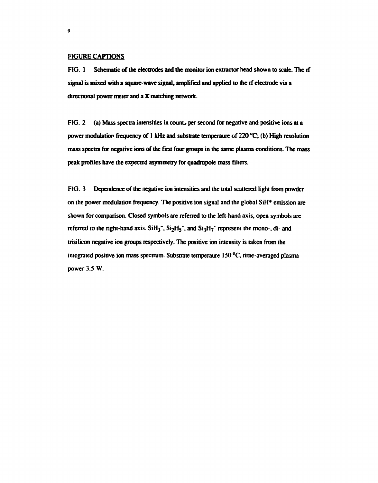## **FIGURE CAPTIONS**

**FIG. 1 Schematic of the electrodes and the monitor ion extractor head shown to scale. The rf signal is mixed with a square-wave signal, amplified and applied to the rf electrode via a directional power meter and a** *K* **matching network.** 

FIG. 2 (a) Mass spectra intensities in count<sub>s</sub> per second for negative and positive ions at a **power modulation frequency of 1 kHz and substrate temperaure of 220 °C; (b) High resolution mass spectra for negative ions of the first four groups in the same plasma conditions. The mass peak profiles have the expected asymmetry for quadrupole mass filters.** 

**FIG. 3 Dependence of the negative ion intensities and the total scattered light from powder on the power modulation frequency. The positive ion signal and the global SiH\* emission are shown for comparison. Closed symbols are referred to the left-hand axis, open symbols are referred to the right-hand axis. SiH<sub>3</sub><sup>-</sup>, S<sub>12</sub>H<sub>5</sub><sup>-</sup>, and S<sub>13</sub>H<sub>7</sub><sup>-</sup> represent the mono-, di- and trisilicon negative ion groups respectively. The positive ion intensity is taken from the integrated positive ion mass spectrum. Substrate temperaure 150 °C, time-averaged plasma power 3.5 W.**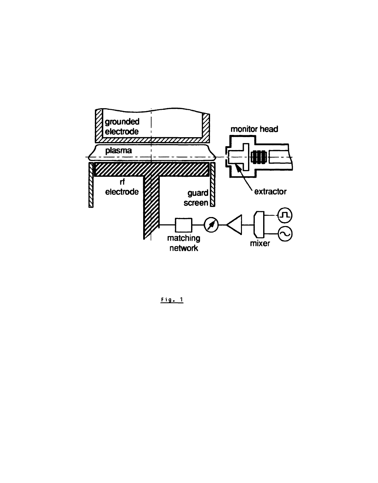

**Fig . 1**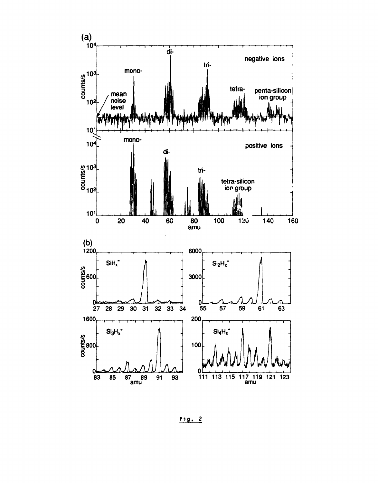

Fig. 2